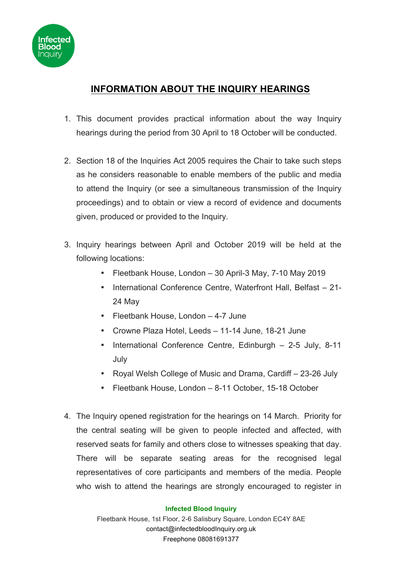

## **INFORMATION ABOUT THE INQUIRY HEARINGS**

- 1. This document provides practical information about the way Inquiry hearings during the period from 30 April to 18 October will be conducted.
- 2. Section 18 of the Inquiries Act 2005 requires the Chair to take such steps as he considers reasonable to enable members of the public and media to attend the Inquiry (or see a simultaneous transmission of the Inquiry proceedings) and to obtain or view a record of evidence and documents given, produced or provided to the Inquiry.
- 3. Inquiry hearings between April and October 2019 will be held at the following locations:
	- Fleetbank House, London 30 April-3 May, 7-10 May 2019
	- International Conference Centre, Waterfront Hall, Belfast 21- 24 May
	- Fleetbank House, London 4-7 June
	- Crowne Plaza Hotel, Leeds 11-14 June, 18-21 June
	- International Conference Centre, Edinburgh 2-5 July, 8-11 July
	- Royal Welsh College of Music and Drama, Cardiff 23-26 July
	- Fleetbank House, London 8-11 October, 15-18 October
- 4. The Inquiry opened registration for the hearings on 14 March. Priority for the central seating will be given to people infected and affected, with reserved seats for family and others close to witnesses speaking that day. There will be separate seating areas for the recognised legal representatives of core participants and members of the media. People who wish to attend the hearings are strongly encouraged to register in

## **Infected Blood Inquiry**

Fleetbank House, 1st Floor, 2-6 Salisbury Square, London EC4Y 8AE contact@infectedbloodInquiry.org.uk Freephone 08081691377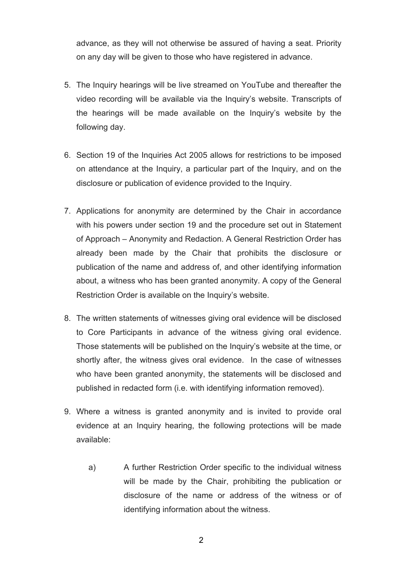advance, as they will not otherwise be assured of having a seat. Priority on any day will be given to those who have registered in advance.

- 5. The Inquiry hearings will be live streamed on YouTube and thereafter the video recording will be available via the Inquiry's website. Transcripts of the hearings will be made available on the Inquiry's website by the following day.
- 6. Section 19 of the Inquiries Act 2005 allows for restrictions to be imposed on attendance at the Inquiry, a particular part of the Inquiry, and on the disclosure or publication of evidence provided to the Inquiry.
- 7. Applications for anonymity are determined by the Chair in accordance with his powers under section 19 and the procedure set out in Statement of Approach – Anonymity and Redaction. A General Restriction Order has already been made by the Chair that prohibits the disclosure or publication of the name and address of, and other identifying information about, a witness who has been granted anonymity. A copy of the General Restriction Order is available on the Inquiry's website.
- 8. The written statements of witnesses giving oral evidence will be disclosed to Core Participants in advance of the witness giving oral evidence. Those statements will be published on the Inquiry's website at the time, or shortly after, the witness gives oral evidence. In the case of witnesses who have been granted anonymity, the statements will be disclosed and published in redacted form (i.e. with identifying information removed).
- 9. Where a witness is granted anonymity and is invited to provide oral evidence at an Inquiry hearing, the following protections will be made available:
	- a) A further Restriction Order specific to the individual witness will be made by the Chair, prohibiting the publication or disclosure of the name or address of the witness or of identifying information about the witness.

2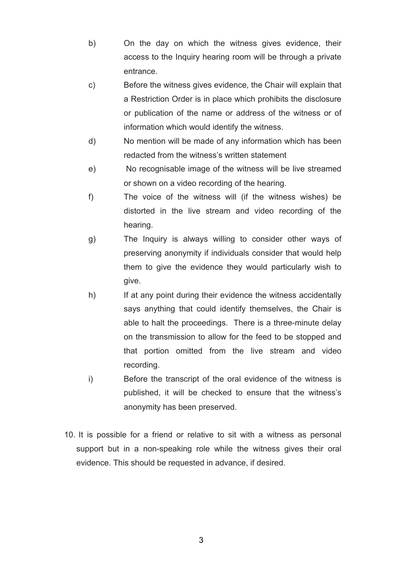- b) On the day on which the witness gives evidence, their access to the Inquiry hearing room will be through a private entrance.
- c) Before the witness gives evidence, the Chair will explain that a Restriction Order is in place which prohibits the disclosure or publication of the name or address of the witness or of information which would identify the witness.
- d) No mention will be made of any information which has been redacted from the witness's written statement
- e) No recognisable image of the witness will be live streamed or shown on a video recording of the hearing.
- f) The voice of the witness will (if the witness wishes) be distorted in the live stream and video recording of the hearing.
- g) The Inquiry is always willing to consider other ways of preserving anonymity if individuals consider that would help them to give the evidence they would particularly wish to give.
- h) If at any point during their evidence the witness accidentally says anything that could identify themselves, the Chair is able to halt the proceedings. There is a three-minute delay on the transmission to allow for the feed to be stopped and that portion omitted from the live stream and video recording.
- i) Before the transcript of the oral evidence of the witness is published, it will be checked to ensure that the witness's anonymity has been preserved.
- 10. It is possible for a friend or relative to sit with a witness as personal support but in a non-speaking role while the witness gives their oral evidence. This should be requested in advance, if desired.

3